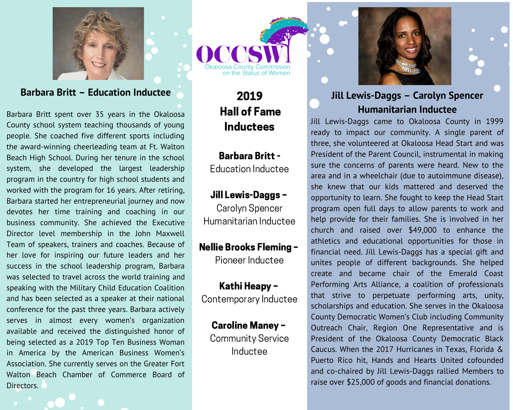

#### **Barbara Britt - Education Inductee**

Barbara Britt spent over 35 years in the Okaloosa County school system teaching thousands of young people. She coached five different sports including the award-winning cheerleading team at Ft. Walton Beach High School. During her tenure in the school system, she developed the largest leadership program in the country for high school students and worked with the program for 16 years. After retiring, Barbara started her entrepreneurial journey and now devotes her time training and coaching in our business community. She achieved the Executive Director level membership in the John Maxwell Team of speakers, trainers and coaches. Because of her love for inspiring our future leaders and her success in the school leadership program, Barbara was selected to travel across the world training and speaking with the Military Child Education Coalition and has been selected as a speaker at their national conference for the past three years. Barbara actively serves in almost every women's organization available and received the distinguished honor of being selected as a 2019 Top Ten Business Woman in America by the American Business Women's Association. She currently serves on the Greater Fort Walton Beach Chamber of Commerce Board of Directors.

osa County Commission<br>on the Status of Women

# 2019 **Hall of Fame Inductees**

**Barbara Britt -**Education Inductee

## Jill Lewis-Daggs -

Carolyn Spencer Humanitarian Inductee

### **Nellie Brooks Fleming -**

Pioneer Inductee

Kathi Heapy -Contemporary Inductee

# **Caroline Maney -**

**Community Service** Inductee



## Jill Lewis-Daggs - Carolyn Spencer **Humanitarian Inductee**

Jill Lewis-Daggs came to Okaloosa County in 1999 ready to impact our community. A single parent of three, she volunteered at Okaloosa Head Start and was President of the Parent Council, instrumental in making sure the concerns of parents were heard. New to the area and in a wheelchair (due to autoimmune disease). she knew that our kids mattered and deserved the opportunity to learn. She fought to keep the Head Start program open full days to allow parents to work and help provide for their families. She is involved in her church and raised over \$49,000 to enhance the athletics and educational opportunities for those in financial need. Jill Lewis-Daggs has a special gift and unites people of different backgrounds. She helped create and became chair of the Emerald Coast Performing Arts Alliance, a coalition of professionals that strive to perpetuate performing arts, unity, scholarships and education. She serves in the Okaloosa County Democratic Women's Club including Community Outreach Chair, Region One Representative and is President of the Okaloosa County Democratic Black Caucus. When the 2017 Hurricanes in Texas, Florida & Puerto Rico hit. Hands and Hearts United cofounded and co-chaired by Jill Lewis-Daggs rallied Members to raise over \$25,000 of goods and financial donations.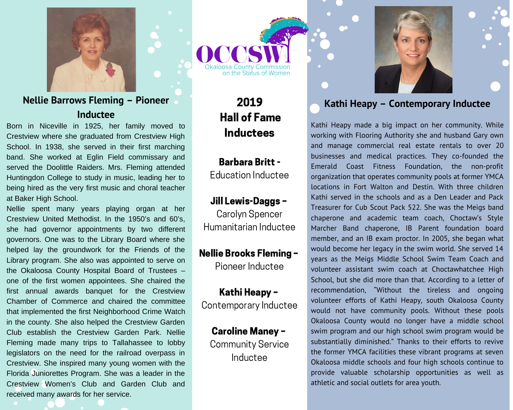

#### Nellie Barrows Fleming - Pioneer Inductee

Born in Niceville in 1925, her family moved to Crestview where she graduated from Crestview High School. In 1938, she served in their first marching band. She worked at Eglin Field commissary and served the Doolittle Raiders. Mrs. Fleming attended Huntingdon College to study in music, leading her to being hired as the very first music and choral teacher at Baker High School.

Nellie spent many years playing organ at her Crestview United Methodist. In the 1950's and 60's. she had governor appointments by two different governors. One was to the Library Board where she helped lay the groundwork for the Friends of the Library program. She also was appointed to serve on the Okaloosa County Hospital Board of Trustees one of the first women appointees. She chaired the first annual awards banquet for the Crestview Chamber of Commerce and chaired the committee that implemented the first Neighborhood Crime Watch in the county. She also helped the Crestview Garden Club establish the Crestview Garden Park. Nellie Fleming made many trips to Tallahassee to lobby legislators on the need for the railroad overpass in Crestview. She inspired many young women with the Florida Juniorettes Program. She was a leader in the Crestview Women's Club and Garden Club and received many awards for her service.



2019 **Hall of Fame Inductees** 

**Barbara Britt -Education Inductee** 

#### Jill Lewis-Daggs -

Carolyn Spencer Humanitarian Inductee

## **Nellie Brooks Fleming -**

Pioneer Inductee

Kathi Heapy -Contemporary Inductee

**Caroline Maney -Community Service** Inductee





#### Kathi Heapy - Contemporary Inductee

Kathi Heapy made a big impact on her community. While working with Flooring Authority she and husband Gary own and manage commercial real estate rentals to over 20 businesses and medical practices. They co-founded the Emerald Coast Fitness Foundation, the non-profit organization that operates community pools at former YMCA locations in Fort Walton and Destin. With three children Kathi served in the schools and as a Den Leader and Pack Treasurer for Cub Scout Pack 522. She was the Meigs band chaperone and academic team coach, Choctaw's Style Marcher Band chaperone, IB Parent foundation board member, and an IB exam proctor. In 2005, she began what would become her legacy in the swim world. She served 14 years as the Meigs Middle School Swim Team Coach and volunteer assistant swim coach at Choctawhatchee High School, but she did more than that. According to a letter of recommendation, "Without the tireless and ongoing volunteer efforts of Kathi Heapy, south Okaloosa County would not have community pools. Without these pools Okaloosa County would no longer have a middle school swim program and our high school swim program would be substantially diminished." Thanks to their efforts to revive the former YMCA facilities these vibrant programs at seven Okaloosa middle schools and four high schools continue to provide valuable scholarship opportunities as well as athletic and social outlets for area youth.